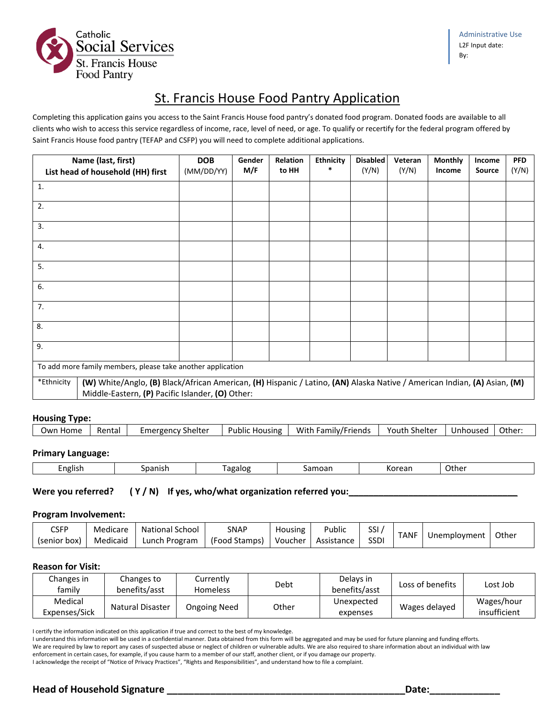

# St. Francis House Food Pantry Application

Completing this application gains you access to the Saint Francis House food pantry's donated food program. Donated foods are available to all clients who wish to access this service regardless of income, race, level of need, or age. To qualify or recertify for the federal program offered by Saint Francis House food pantry (TEFAP and CSFP) you will need to complete additional applications.

|            | Name (last, first)<br>List head of household (HH) first                                                                                                                      | <b>DOB</b><br>(MM/DD/YY) | Gender<br>M/F | Relation<br>to HH | <b>Ethnicity</b><br>$\ast$ | <b>Disabled</b><br>(Y/N) | Veteran<br>(Y/N) | <b>Monthly</b><br>Income | Income<br><b>Source</b> | <b>PFD</b><br>(Y/N) |
|------------|------------------------------------------------------------------------------------------------------------------------------------------------------------------------------|--------------------------|---------------|-------------------|----------------------------|--------------------------|------------------|--------------------------|-------------------------|---------------------|
| 1.         |                                                                                                                                                                              |                          |               |                   |                            |                          |                  |                          |                         |                     |
| 2.         |                                                                                                                                                                              |                          |               |                   |                            |                          |                  |                          |                         |                     |
| 3.         |                                                                                                                                                                              |                          |               |                   |                            |                          |                  |                          |                         |                     |
| 4.         |                                                                                                                                                                              |                          |               |                   |                            |                          |                  |                          |                         |                     |
| 5.         |                                                                                                                                                                              |                          |               |                   |                            |                          |                  |                          |                         |                     |
| 6.         |                                                                                                                                                                              |                          |               |                   |                            |                          |                  |                          |                         |                     |
| 7.         |                                                                                                                                                                              |                          |               |                   |                            |                          |                  |                          |                         |                     |
| 8.         |                                                                                                                                                                              |                          |               |                   |                            |                          |                  |                          |                         |                     |
| 9.         |                                                                                                                                                                              |                          |               |                   |                            |                          |                  |                          |                         |                     |
|            | To add more family members, please take another application                                                                                                                  |                          |               |                   |                            |                          |                  |                          |                         |                     |
| *Ethnicity | (W) White/Anglo, (B) Black/African American, (H) Hispanic / Latino, (AN) Alaska Native / American Indian, (A) Asian, (M)<br>Middle-Eastern, (P) Pacific Islander, (O) Other: |                          |               |                   |                            |                          |                  |                          |                         |                     |

# **Housing Type:**

| Other:<br>With Family/Friends<br>Youth Shelter<br>Own Home<br><b>Emergency Shelter</b><br><b>Public Housing</b><br>Rental<br>Unhoused |
|---------------------------------------------------------------------------------------------------------------------------------------|
|---------------------------------------------------------------------------------------------------------------------------------------|

# **Primary Language:**

| $-$<br>. .<br>English<br>.<br>$\sim$ $\sim$ $\sim$ $\sim$<br>agalog<br>nanich<br>$ -$<br>Othe<br>∽<br>ĸor<br>TOđi<br>וומכ<br><b>call</b><br>.<br>- 1 |  |  |  |  |  |
|------------------------------------------------------------------------------------------------------------------------------------------------------|--|--|--|--|--|
|------------------------------------------------------------------------------------------------------------------------------------------------------|--|--|--|--|--|

Were you referred? ( Y / N) If yes, who/what organization referred you:\_\_\_\_\_\_\_\_\_

#### **Program Involvement:**

| $\mathsf{CSFP}$ | Medicare | <b>National School</b> | <b>SNAP</b>   | Housing | Public     | SSI         | <b>TANF</b> |              | Other |
|-----------------|----------|------------------------|---------------|---------|------------|-------------|-------------|--------------|-------|
| (senior box)    | Medicaid | Lunch Program          | (Food Stamps) | Voucher | Assistance | <b>SSDI</b> |             | Unemployment |       |

## **Reason for Visit:**

| Changes in<br>family     | Changes to<br>benefits/asst | Currently<br>Homeless | Debt  | Delays in<br>benefits/asst | Loss of benefits | Lost Job                   |
|--------------------------|-----------------------------|-----------------------|-------|----------------------------|------------------|----------------------------|
| Medical<br>Expenses/Sick | <b>Natural Disaster</b>     | <b>Ongoing Need</b>   | Other | Unexpected<br>expenses     | Wages delayed    | Wages/hour<br>insufficient |

I certify the information indicated on this application if true and correct to the best of my knowledge.

I understand this information will be used in a confidential manner. Data obtained from this form will be aggregated and may be used for future planning and funding efforts. We are required by law to report any cases of suspected abuse or neglect of children or vulnerable adults. We are also required to share information about an individual with law

enforcement in certain cases, for example, if you cause harm to a member of our staff, another client, or if you damage our property.

I acknowledge the receipt of "Notice of Privacy Practices", "Rights and Responsibilities", and understand how to file a complaint.

# **Head of Household Signature \_\_\_\_\_\_\_\_\_\_\_\_\_\_\_\_\_\_\_\_\_\_\_\_\_\_\_\_\_\_\_\_\_\_\_\_\_\_\_\_\_\_\_\_Date:\_\_\_\_\_\_\_\_\_\_\_\_\_**